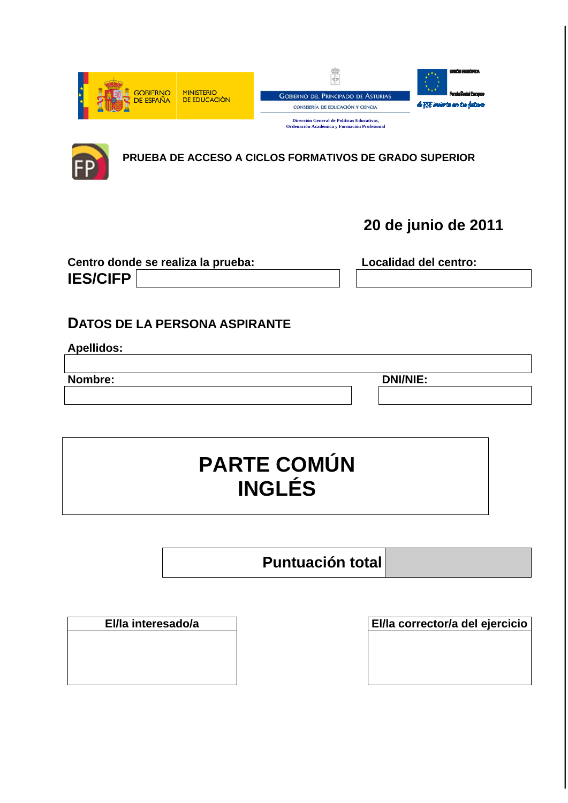| GOBIERNO<br>DE ESPAÑA                                                                                  | <b>MINISTERIO</b><br>DE EDUCACIÓN | <b>GOBIERNO DEL PRINCIPADO DE ASTURIAS</b><br>CONSEJERÍA DE EDUCACIÓN Y CIENCIA<br>Dirección General de Políticas Educativas, | الاستسداد الشاب<br>Fernia Social Europeo<br>de FSE invierte au terfateur |  |
|--------------------------------------------------------------------------------------------------------|-----------------------------------|-------------------------------------------------------------------------------------------------------------------------------|--------------------------------------------------------------------------|--|
| Ordenación Académica y Formación Profesional<br>PRUEBA DE ACCESO A CICLOS FORMATIVOS DE GRADO SUPERIOR |                                   |                                                                                                                               |                                                                          |  |
|                                                                                                        |                                   |                                                                                                                               | 20 de junio de 2011                                                      |  |
| Centro donde se realiza la prueba:<br>Localidad del centro:<br><b>IES/CIFP</b>                         |                                   |                                                                                                                               |                                                                          |  |
| <b>DATOS DE LA PERSONA ASPIRANTE</b><br><b>Apellidos:</b>                                              |                                   |                                                                                                                               |                                                                          |  |
| Nombre:                                                                                                |                                   | <b>DNI/NIE:</b>                                                                                                               |                                                                          |  |
| <b>PARTE COMÚN</b><br><b>INGLÉS</b>                                                                    |                                   |                                                                                                                               |                                                                          |  |
|                                                                                                        |                                   | <b>Puntuación total</b>                                                                                                       |                                                                          |  |

**El/la interesado/a El/la corrector/a del ejercicio**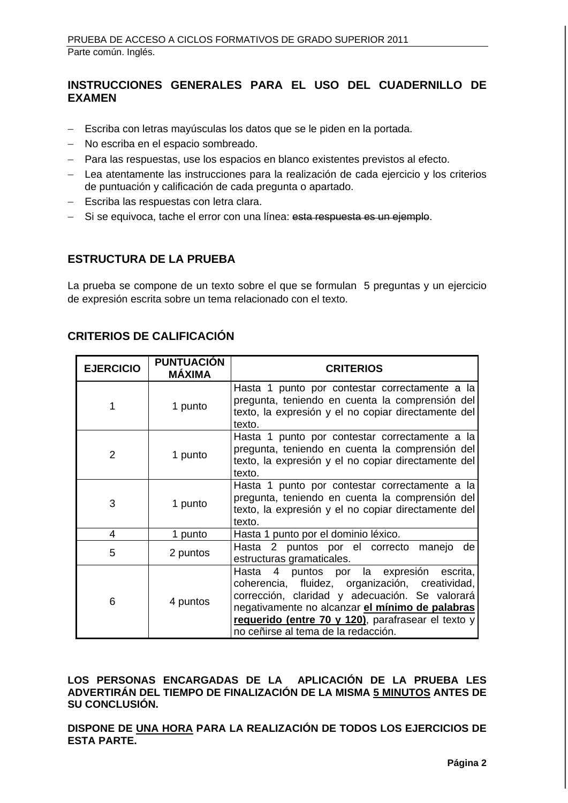# **INSTRUCCIONES GENERALES PARA EL USO DEL CUADERNILLO DE EXAMEN**

- − Escriba con letras mayúsculas los datos que se le piden en la portada.
- − No escriba en el espacio sombreado.
- − Para las respuestas, use los espacios en blanco existentes previstos al efecto.
- − Lea atentamente las instrucciones para la realización de cada ejercicio y los criterios de puntuación y calificación de cada pregunta o apartado.
- − Escriba las respuestas con letra clara.
- − Si se equivoca, tache el error con una línea: esta respuesta es un ejemplo.

#### **ESTRUCTURA DE LA PRUEBA**

La prueba se compone de un texto sobre el que se formulan 5 preguntas y un ejercicio de expresión escrita sobre un tema relacionado con el texto.

| <b>EJERCICIO</b> | <b>PUNTUACIÓN</b><br>MÁXIMA | <b>CRITERIOS</b>                                                                                                                                                                                                                                                                                 |
|------------------|-----------------------------|--------------------------------------------------------------------------------------------------------------------------------------------------------------------------------------------------------------------------------------------------------------------------------------------------|
|                  | 1 punto                     | Hasta 1 punto por contestar correctamente a la<br>pregunta, teniendo en cuenta la comprensión del<br>texto, la expresión y el no copiar directamente del<br>texto.                                                                                                                               |
| 2                | 1 punto                     | Hasta 1 punto por contestar correctamente a la<br>pregunta, teniendo en cuenta la comprensión del<br>texto, la expresión y el no copiar directamente del<br>texto.                                                                                                                               |
| 3                | 1 punto                     | Hasta 1 punto por contestar correctamente a la<br>pregunta, teniendo en cuenta la comprensión del<br>texto, la expresión y el no copiar directamente del<br>texto.                                                                                                                               |
| 4                | 1 punto                     | Hasta 1 punto por el dominio léxico.                                                                                                                                                                                                                                                             |
| 5                | 2 puntos                    | Hasta 2 puntos por el correcto<br>de<br>manejo<br>estructuras gramaticales.                                                                                                                                                                                                                      |
| 6                | 4 puntos                    | 4 puntos por la expresión escrita,<br>Hasta<br>coherencia, fluidez, organización, creatividad,<br>corrección, claridad y adecuación. Se valorará<br>negativamente no alcanzar el mínimo de palabras<br>requerido (entre 70 y 120), parafrasear el texto y<br>no ceñirse al tema de la redacción. |

# **CRITERIOS DE CALIFICACIÓN**

**LOS PERSONAS ENCARGADAS DE LA APLICACIÓN DE LA PRUEBA LES ADVERTIRÁN DEL TIEMPO DE FINALIZACIÓN DE LA MISMA 5 MINUTOS ANTES DE SU CONCLUSIÓN.** 

**DISPONE DE UNA HORA PARA LA REALIZACIÓN DE TODOS LOS EJERCICIOS DE ESTA PARTE.**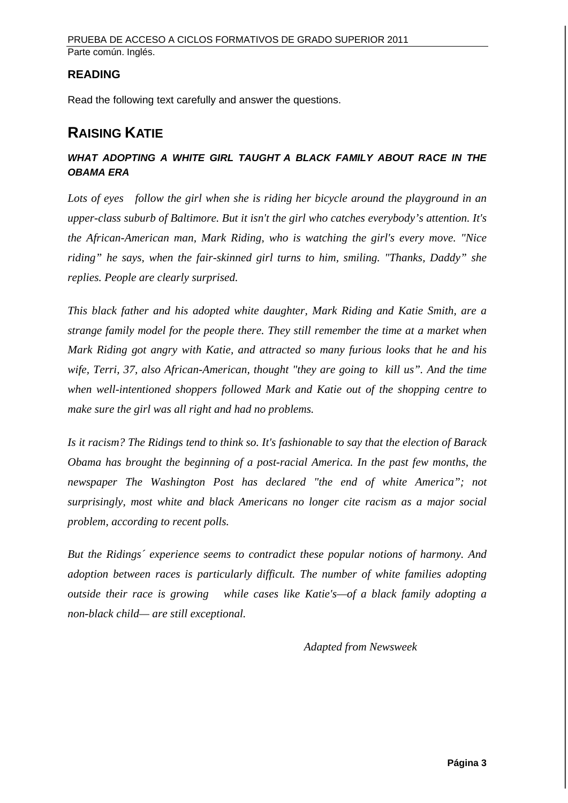# **READING**

Read the following text carefully and answer the questions.

# **RAISING KATIE**

## *WHAT ADOPTING A WHITE GIRL TAUGHT A BLACK FAMILY ABOUT RACE IN THE OBAMA ERA*

*Lots of eyes follow the girl when she is riding her bicycle around the playground in an upper-class suburb of Baltimore. But it isn't the girl who catches everybody's attention. It's the African-American man, Mark Riding, who is watching the girl's every move. "Nice riding" he says, when the fair-skinned girl turns to him, smiling. "Thanks, Daddy" she replies. People are clearly surprised.* 

*This black father and his adopted white daughter, Mark Riding and Katie Smith, are a strange family model for the people there. They still remember the time at a market when Mark Riding got angry with Katie, and attracted so many furious looks that he and his wife, Terri, 37, also African-American, thought "they are going to kill us". And the time when well-intentioned shoppers followed Mark and Katie out of the shopping centre to make sure the girl was all right and had no problems.* 

*Is it racism? The Ridings tend to think so. It's fashionable to say that the election of Barack Obama has brought the beginning of a post-racial America. In the past few months, the newspaper The Washington Post has declared "the end of white America"; not surprisingly, most white and black Americans no longer cite racism as a major social problem, according to recent polls.* 

*But the Ridings´ experience seems to contradict these popular notions of harmony. And adoption between races is particularly difficult. The number of white families adopting outside their race is growing while cases like Katie's—of a black family adopting a non-black child— are still exceptional.* 

#### *Adapted from Newsweek*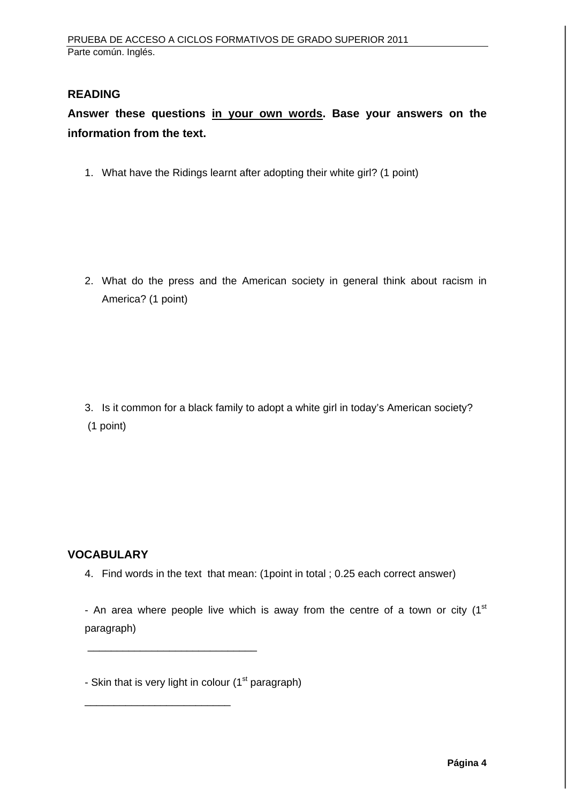#### **READING**

# **Answer these questions in your own words. Base your answers on the information from the text.**

1. What have the Ridings learnt after adopting their white girl? (1 point)

2. What do the press and the American society in general think about racism in America? (1 point)

3. Is it common for a black family to adopt a white girl in today's American society? (1 point)

#### **VOCABULARY**

4. Find words in the text that mean: (1point in total ; 0.25 each correct answer)

- An area where people live which is away from the centre of a town or city  $(1<sup>st</sup>$ paragraph)

- Skin that is very light in colour  $(1<sup>st</sup>$  paragraph)

 $\frac{1}{\sqrt{2\pi\sigma^2(1-\sigma^2)(1-\sigma^2)(1-\sigma^2)(1-\sigma^2)(1-\sigma^2)(1-\sigma^2)(1-\sigma^2)(1-\sigma^2)(1-\sigma^2)(1-\sigma^2)(1-\sigma^2)(1-\sigma^2)(1-\sigma^2)(1-\sigma^2)(1-\sigma^2)(1-\sigma^2)(1-\sigma^2)(1-\sigma^2)(1-\sigma^2)(1-\sigma^2)(1-\sigma^2)(1-\sigma^2)(1-\sigma^2)(1-\sigma^2)(1-\sigma^2)(1-\sigma^2)(1-\sigma^2)(1-\sigma^2)(1-\sigma^2)(1-\sigma^2)(1-\sigma^2)(1-\sigma^2)(1-\sigma^2)(1-\sigma^2)($ 

\_\_\_\_\_\_\_\_\_\_\_\_\_\_\_\_\_\_\_\_\_\_\_\_\_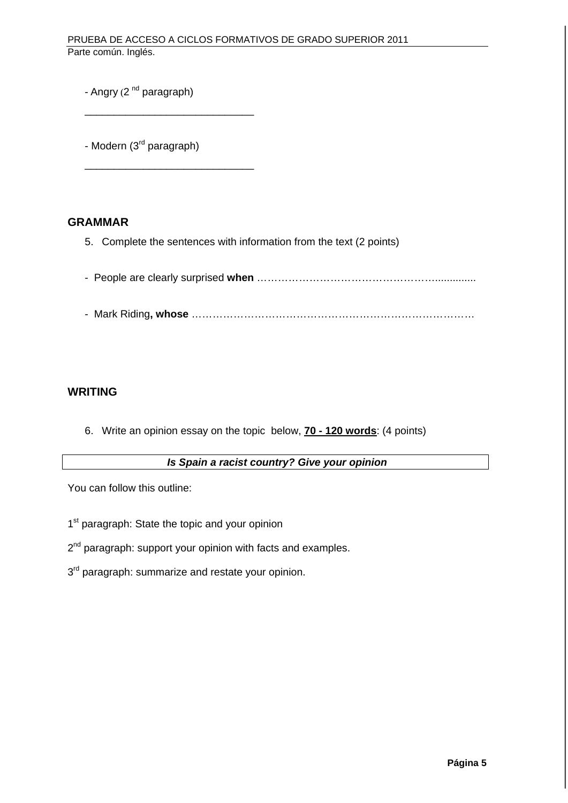Parte común. Inglés.

- Angry  $(2<sup>nd</sup>$  paragraph)

- Modern (3<sup>rd</sup> paragraph)

\_\_\_\_\_\_\_\_\_\_\_\_\_\_\_\_\_\_\_\_\_\_\_\_\_\_\_\_\_

\_\_\_\_\_\_\_\_\_\_\_\_\_\_\_\_\_\_\_\_\_\_\_\_\_\_\_\_\_

## **GRAMMAR**

- 5. Complete the sentences with information from the text (2 points)
- People are clearly surprised **when** ……………………………………………..............
- Mark Riding**, whose** ………………………………………………………………………

#### **WRITING**

6. Write an opinion essay on the topic below, **70 - 120 words**: (4 points)

#### *Is Spain a racist country? Give your opinion*

You can follow this outline:

- 1<sup>st</sup> paragraph: State the topic and your opinion
- 2<sup>nd</sup> paragraph: support your opinion with facts and examples.
- 3<sup>rd</sup> paragraph: summarize and restate your opinion.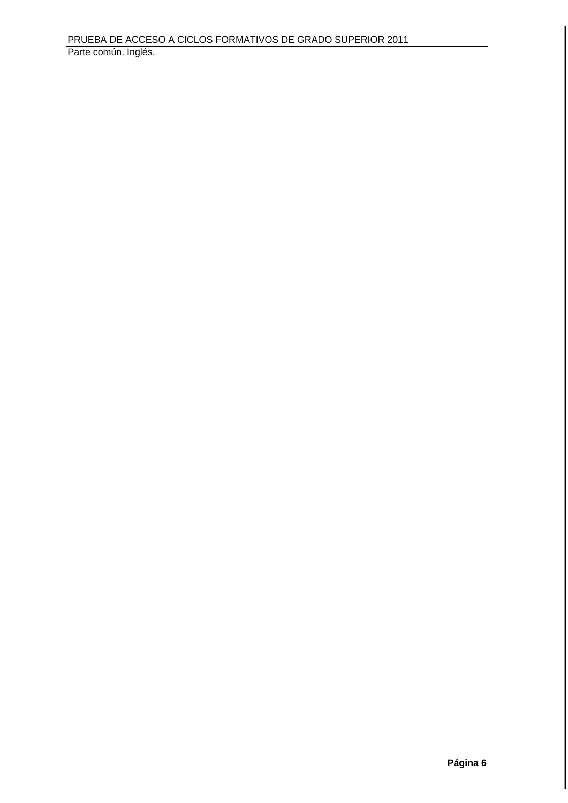Parte común. Inglés.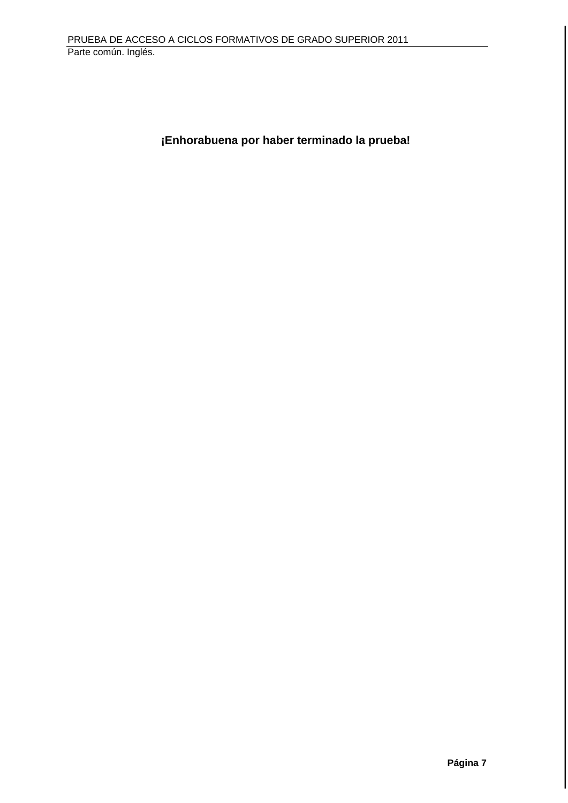**¡Enhorabuena por haber terminado la prueba!**